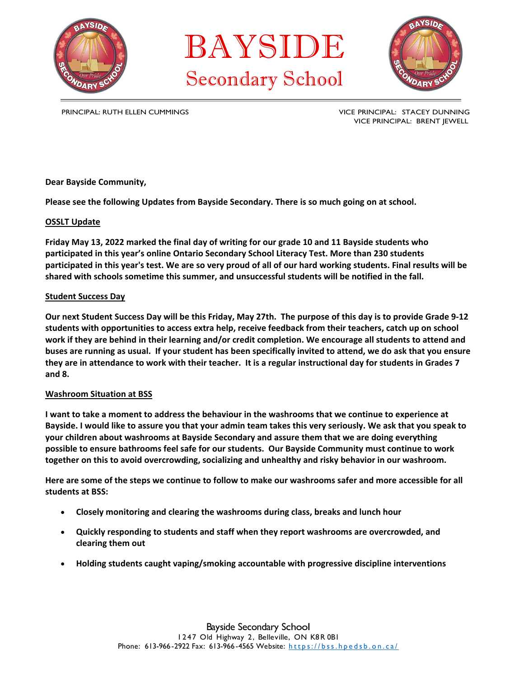

BAYSIDE Secondary School



PRINCIPAL: RUTH ELLEN CUMMINGS **VICE PRINCIPAL: STACEY DUNNING** VICE PRINCIPAL: BRENT JEWELL

**Dear Bayside Community,**

**Please see the following Updates from Bayside Secondary. There is so much going on at school.**

# **OSSLT Update**

**Friday May 13, 2022 marked the final day of writing for our grade 10 and 11 Bayside students who participated in this year's online Ontario Secondary School Literacy Test. More than 230 students participated in this year's test. We are so very proud of all of our hard working students. Final results will be shared with schools sometime this summer, and unsuccessful students will be notified in the fall.** 

### **Student Success Day**

**Our next Student Success Day will be this Friday, May 27th. The purpose of this day is to provide Grade 9‐12 students with opportunities to access extra help, receive feedback from their teachers, catch up on school work if they are behind in their learning and/or credit completion. We encourage all students to attend and buses are running as usual. If your student has been specifically invited to attend, we do ask that you ensure they are in attendance to work with their teacher. It is a regular instructional day for students in Grades 7 and 8.**

# **Washroom Situation at BSS**

**I want to take a moment to address the behaviour in the washrooms that we continue to experience at Bayside. I would like to assure you that your admin team takes this very seriously. We ask that you speak to your children about washrooms at Bayside Secondary and assure them that we are doing everything possible to ensure bathrooms feel safe for our students. Our Bayside Community must continue to work together on this to avoid overcrowding, socializing and unhealthy and risky behavior in our washroom.**

**Here are some of the steps we continue to follow to make our washrooms safer and more accessible for all students at BSS:**

- **Closely monitoring and clearing the washrooms during class, breaks and lunch hour**
- **Quickly responding to students and staff when they report washrooms are overcrowded, and clearing them out**
- **Holding students caught vaping/smoking accountable with progressive discipline interventions**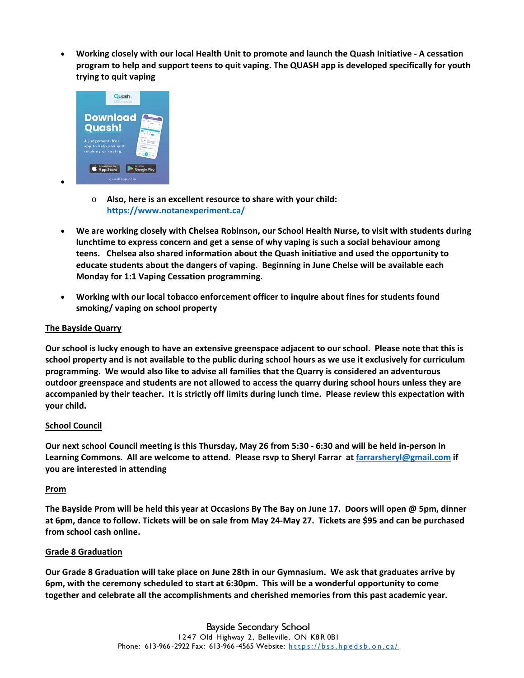**Working closely with our local Health Unit to promote and launch the Quash Initiative ‐ A cessation program to help and support teens to quit vaping. The QUASH app is developed specifically for youth trying to quit vaping**



- o **Also, here is an excellent resource to share with your child: https://www.notanexperiment.ca/**
- **We are working closely with Chelsea Robinson, our School Health Nurse, to visit with students during lunchtime to express concern and get a sense of why vaping is such a social behaviour among teens. Chelsea also shared information about the Quash initiative and used the opportunity to educate students about the dangers of vaping. Beginning in June Chelse will be available each Monday for 1:1 Vaping Cessation programming.**
- **Working with our local tobacco enforcement officer to inquire about fines for students found smoking/ vaping on school property**

# **The Bayside Quarry**

 $\bullet$ 

**Our school is lucky enough to have an extensive greenspace adjacent to our school. Please note that this is school property and is not available to the public during school hours as we use it exclusively for curriculum programming. We would also like to advise all families that the Quarry is considered an adventurous outdoor greenspace and students are not allowed to access the quarry during school hours unless they are accompanied by their teacher. It is strictly off limits during lunch time. Please review this expectation with your child.**

# **School Council**

**Our next school Council meeting is this Thursday, May 26 from 5:30 ‐ 6:30 and will be held in‐person in Learning Commons. All are welcome to attend. Please rsvp to Sheryl Farrar at farrarsheryl@gmail.com if you are interested in attending** 

# **Prom**

**The Bayside Prom will be held this year at Occasions By The Bay on June 17. Doors will open @ 5pm, dinner at 6pm, dance to follow. Tickets will be on sale from May 24‐May 27. Tickets are \$95 and can be purchased from school cash online.** 

# **Grade 8 Graduation**

**Our Grade 8 Graduation will take place on June 28th in our Gymnasium. We ask that graduates arrive by 6pm, with the ceremony scheduled to start at 6:30pm. This will be a wonderful opportunity to come together and celebrate all the accomplishments and cherished memories from this past academic year.**